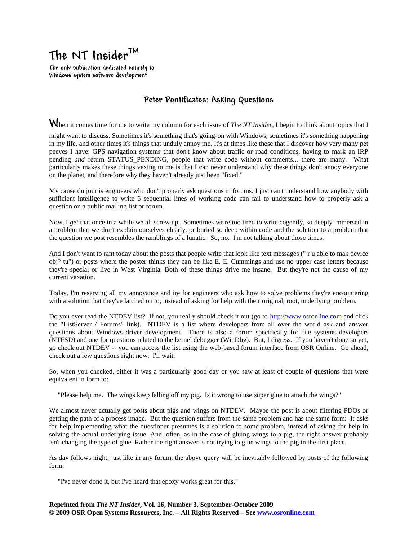## **The NT InsiderTM**

**The only publication dedicated entirely to Windows system software development**

## **Peter Pontificates: Asking Questions**

**W**hen it comes time for me to write my column for each issue of *The NT Insider*, I begin to think about topics that I

might want to discuss. Sometimes it's something that's going-on with Windows, sometimes it's something happening in my life, and other times it's things that unduly annoy me. It's at times like these that I discover how very many pet peeves I have: GPS navigation systems that don't know about traffic or road conditions, having to mark an IRP pending *and* return STATUS\_PENDING, people that write code without comments... there are many. What particularly makes these things vexing to me is that I can never understand why these things don't annoy everyone on the planet, and therefore why they haven't already just been "fixed."

My cause du jour is engineers who don't properly ask questions in forums. I just can't understand how anybody with sufficient intelligence to write 6 sequential lines of working code can fail to understand how to properly ask a question on a public mailing list or forum.

Now, I get that once in a while we all screw up. Sometimes we're too tired to write cogently, so deeply immersed in a problem that we don't explain ourselves clearly, or buried so deep within code and the solution to a problem that the question we post resembles the ramblings of a lunatic. So, no. I'm not talking about those times.

And I don't want to rant today about the posts that people write that look like text messages (" r u able to mak device obj? tu") or posts where the poster thinks they can be like E. E. Cummings and use no upper case letters because they're special or live in West Virginia. Both of these things drive me insane. But they're not the cause of my current vexation.

Today, I'm reserving all my annoyance and ire for engineers who ask how to solve problems they're encountering with a solution that they've latched on to, instead of asking for help with their original, root, underlying problem.

Do you ever read the NTDEV list? If not, you really should check it out (go to [http://www.osronline.com](http://www.osronline.com/) and click the "ListServer / Forums" link). NTDEV is a list where developers from all over the world ask and answer questions about Windows driver development. There is also a forum specifically for file systems developers (NTFSD) and one for questions related to the kernel debugger (WinDbg). But, I digress. If you haven't done so yet, go check out NTDEV -- you can access the list using the web-based forum interface from OSR Online. Go ahead, check out a few questions right now. I'll wait.

So, when you checked, either it was a particularly good day or you saw at least of couple of questions that were equivalent in form to:

"Please help me. The wings keep falling off my pig. Is it wrong to use super glue to attach the wings?"

We almost never actually get posts about pigs and wings on NTDEV. Maybe the post is about filtering PDOs or getting the path of a process image. But the question suffers from the same problem and has the same form: It asks for help implementing what the questioner presumes is a solution to some problem, instead of asking for help in solving the actual underlying issue. And, often, as in the case of gluing wings to a pig, the right answer probably isn't changing the type of glue. Rather the right answer is not trying to glue wings to the pig in the first place.

As day follows night, just like in any forum, the above query will be inevitably followed by posts of the following form:

"I've never done it, but I've heard that epoxy works great for this."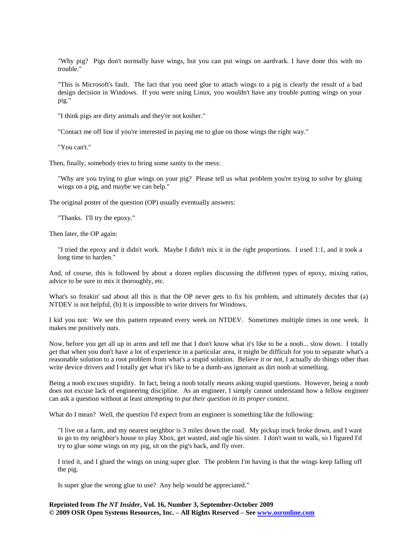"Why pig? Pigs don't normally have wings, but you can put wings on aardvark. I have done this with no trouble."

"This is Microsoft's fault. The fact that you need glue to attach wings to a pig is clearly the result of a bad design decision in Windows. If you were using Linux, you wouldn't have any trouble putting wings on your pig."

"I think pigs are dirty animals and they're not kosher."

"Contact me off line if you're interested in paying me to glue on those wings the right way."

"You can't."

Then, finally, somebody tries to bring some sanity to the mess:

"Why are you trying to glue wings on your pig? Please tell us what problem you're trying to solve by gluing wings on a pig, and maybe we can help."

The original poster of the question (OP) usually eventually answers:

"Thanks. I'll try the epoxy."

Then later, the OP again:

"I tried the epoxy and it didn't work. Maybe I didn't mix it in the right proportions. I used 1:1, and it took a long time to harden."

And, of course, this is followed by about a dozen replies discussing the different types of epoxy, mixing ratios, advice to be sure to mix it thoroughly, etc.

What's so freakin' sad about all this is that the OP never gets to fix his problem, and ultimately decides that (a) NTDEV is not helpful, (b) It is impossible to write drivers for Windows.

I kid you not: We see this pattern repeated every week on NTDEV. Sometimes multiple times in one week. It makes me positively nuts.

Now, before you get all up in arms and tell me that I don't know what it's like to be a noob... slow down. I totally *get* that when you don't have a lot of experience in a particular area, it might be difficult for you to separate what's a reasonable solution to a root problem from what's a stupid solution. Believe it or not, I actually *do* things other than write device drivers and I totally get what it's like to be a dumb-ass ignorant as dirt noob at something.

Being a noob excuses stupidity. In fact, being a noob totally *means* asking stupid questions. However, being a noob does not excuse lack of engineering discipline. As an engineer, I simply cannot understand how a fellow engineer can ask a question without at least *attempting* to *put their question in its proper context*.

What do I mean? Well, the question I'd expect from an engineer is something like the following:

"I live on a farm, and my nearest neighbor is 3 miles down the road. My pickup truck broke down, and I want to go to my neighbor's house to play Xbox, get wasted, and ogle his sister. I don't want to walk, so I figured I'd try to glue some wings on my pig, sit on the pig's back, and fly over.

I tried it, and I glued the wings on using super glue. The problem I'm having is that the wings keep falling off the pig.

Is super glue the wrong glue to use? Any help would be appreciated."